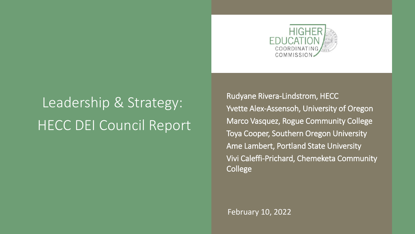

# Leadership & Strategy: HECC DEI Council Report

Rudyane Rivera-Lindstrom, HECC Yvette Alex-Assensoh, University of Oregon Marco Vasquez, Rogue Community College Toya Cooper, Southern Oregon University Ame Lambert, Portland State University Vivi Caleffi-Prichard, Chemeketa Community College

February 10, 2022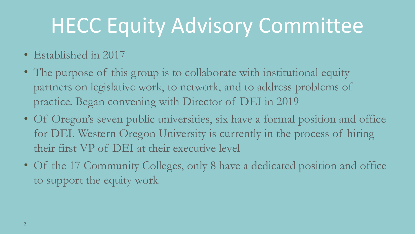# HECC Equity Advisory Committee

- Established in 2017
- The purpose of this group is to collaborate with institutional equity partners on legislative work, to network, and to address problems of practice. Began convening with Director of DEI in 2019
- Of Oregon's seven public universities, six have a formal position and office for DEI. Western Oregon University is currently in the process of hiring their first VP of DEI at their executive level
- Of the 17 Community Colleges, only 8 have a dedicated position and office to support the equity work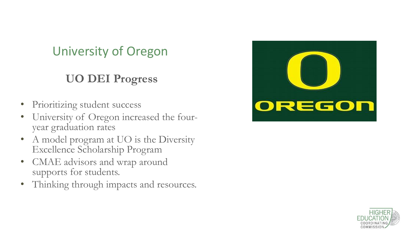# University of Oregon

### **UO DEI Progress**

- Prioritizing student success
- University of Oregon increased the fouryear graduation rates
- A model program at UO is the Diversity Excellence Scholarship Program
- CMAE advisors and wrap around supports for students.
- Thinking through impacts and resources.



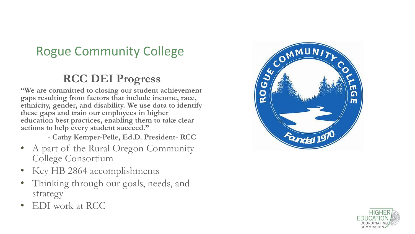# Rogue Community College

#### **RCC DEI Progress**

**"We are committed to closing our student achievement gaps resulting from factors that include income, race, ethnicity, gender, and disability. We use data to identify these gaps and train our employees in higher education best practices, enabling them to take clear actions to help every student succeed."**

- **- Cathy Kemper-Pelle, Ed.D. President- RCC**
- A part of the Rural Oregon Community College Consortium
- Key HB 2864 accomplishments
- Thinking through our goals, needs, and strategy
- EDI work at RCC



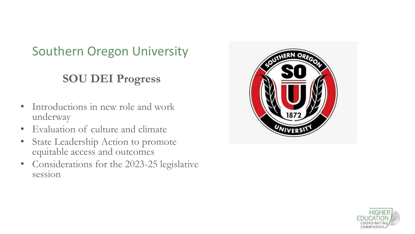# Southern Oregon University

#### **SOU DEI Progress**

- Introductions in new role and work underway
- Evaluation of culture and climate
- State Leadership Action to promote equitable access and outcomes
- Considerations for the 2023-25 legislative session



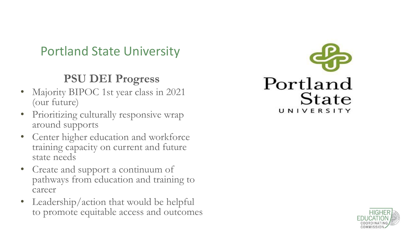## Portland State University

#### **PSU DEI Progress**

- Majority BIPOC 1st year class in 2021 (our future)
- Prioritizing culturally responsive wrap around supports
- Center higher education and workforce training capacity on current and future state needs
- Create and support a continuum of pathways from education and training to career
- Leadership/action that would be helpful to promote equitable access and outcomes